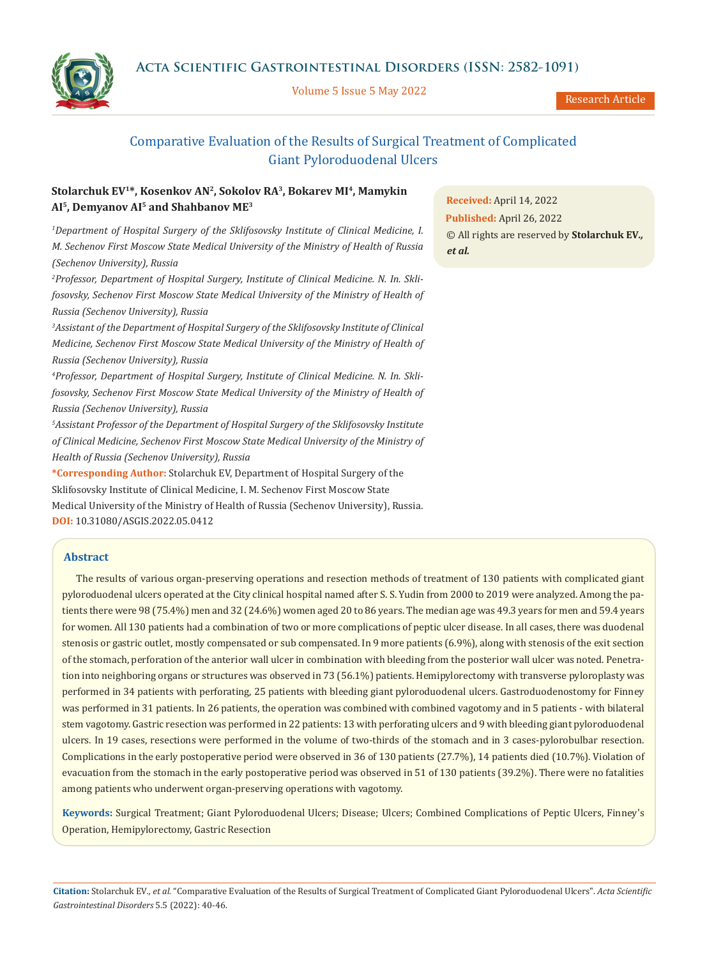**Acta Scientific Gastrointestinal Disorders (ISSN: 2582-1091)**

Volume 5 Issue 5 May 2022

Research Article

# Comparative Evaluation of the Results of Surgical Treatment of Complicated Giant Pyloroduodenal Ulcers

# **Stolarchuk EV1\*, Kosenkov AN2, Sokolov RA3, Bokarev MI4, Mamykin AI5, Demyanov AI5 and Shahbanov ME3**

*1 Department of Hospital Surgery of the Sklifosovsky Institute of Clinical Medicine, I. M. Sechenov First Moscow State Medical University of the Ministry of Health of Russia (Sechenov University), Russia*

*2 Professor, Department of Hospital Surgery, Institute of Clinical Medicine. N. In. Sklifosovsky, Sechenov First Moscow State Medical University of the Ministry of Health of Russia (Sechenov University), Russia*

*3 Assistant of the Department of Hospital Surgery of the Sklifosovsky Institute of Clinical Medicine, Sechenov First Moscow State Medical University of the Ministry of Health of Russia (Sechenov University), Russia*

*4 Professor, Department of Hospital Surgery, Institute of Clinical Medicine. N. In. Sklifosovsky, Sechenov First Moscow State Medical University of the Ministry of Health of Russia (Sechenov University), Russia*

*5 Assistant Professor of the Department of Hospital Surgery of the Sklifosovsky Institute of Clinical Medicine, Sechenov First Moscow State Medical University of the Ministry of Health of Russia (Sechenov University), Russia*

**\*Corresponding Author:** Stolarchuk EV, Department of Hospital Surgery of the Sklifosovsky Institute of Clinical Medicine, I. M. Sechenov First Moscow State Medical University of the Ministry of Health of Russia (Sechenov University), Russia. **DOI:** [10.31080/ASGIS.2022.05.0412](https://actascientific.com/ASGIS/pdf/ASGIS-05-0412.pdf)

# **Abstract**

The results of various organ-preserving operations and resection methods of treatment of 130 patients with complicated giant pyloroduodenal ulcers operated at the City clinical hospital named after S. S. Yudin from 2000 to 2019 were analyzed. Among the patients there were 98 (75.4%) men and 32 (24.6%) women aged 20 to 86 years. The median age was 49.3 years for men and 59.4 years for women. All 130 patients had a combination of two or more complications of peptic ulcer disease. In all cases, there was duodenal stenosis or gastric outlet, mostly compensated or sub compensated. In 9 more patients (6.9%), along with stenosis of the exit section of the stomach, perforation of the anterior wall ulcer in combination with bleeding from the posterior wall ulcer was noted. Penetration into neighboring organs or structures was observed in 73 (56.1%) patients. Hemipylorectomy with transverse pyloroplasty was performed in 34 patients with perforating, 25 patients with bleeding giant pyloroduodenal ulcers. Gastroduodenostomy for Finney was performed in 31 patients. In 26 patients, the operation was combined with combined vagotomy and in 5 patients - with bilateral stem vagotomy. Gastric resection was performed in 22 patients: 13 with perforating ulcers and 9 with bleeding giant pyloroduodenal ulcers. In 19 cases, resections were performed in the volume of two-thirds of the stomach and in 3 cases-pylorobulbar resection. Complications in the early postoperative period were observed in 36 of 130 patients (27.7%), 14 patients died (10.7%). Violation of evacuation from the stomach in the early postoperative period was observed in 51 of 130 patients (39.2%). There were no fatalities among patients who underwent organ-preserving operations with vagotomy.

**Keywords:** Surgical Treatment; Giant Pyloroduodenal Ulcers; Disease; Ulcers; Combined Complications of Peptic Ulcers, Finney's Operation, Hemipylorectomy, Gastric Resection

**Received:** April 14, 2022 **Published:** April 26, 2022 © All rights are reserved by **Stolarchuk EV***., et al.*

**Citation:** Stolarchuk EV*., et al.* "Comparative Evaluation of the Results of Surgical Treatment of Complicated Giant Pyloroduodenal Ulcers". *Acta Scientific Gastrointestinal Disorders* 5.5 (2022): 40-46.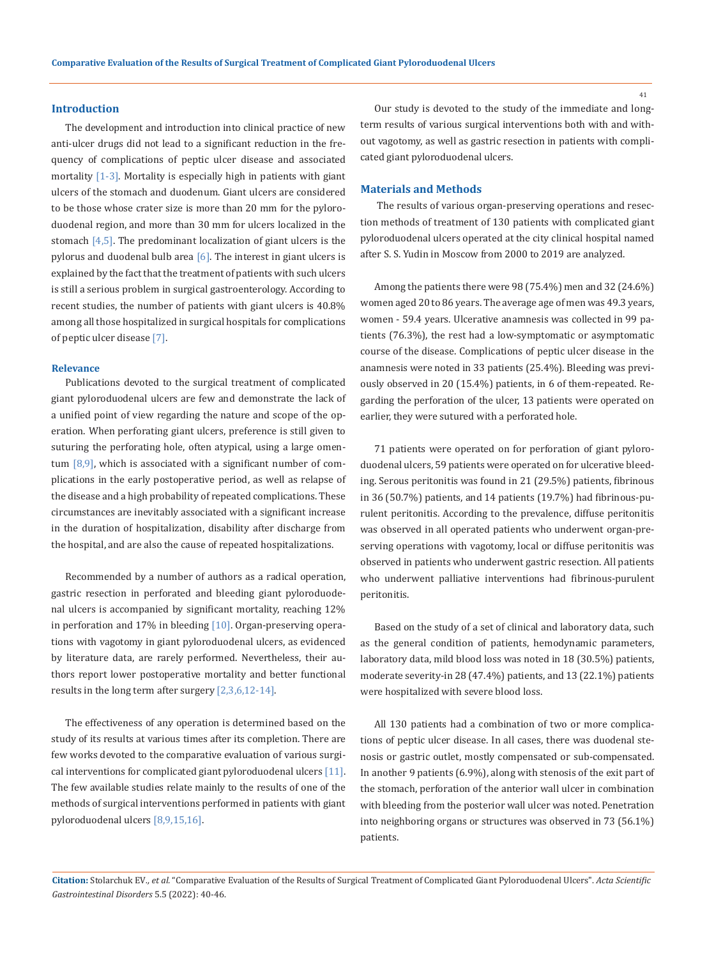### **Introduction**

The development and introduction into clinical practice of new anti-ulcer drugs did not lead to a significant reduction in the frequency of complications of peptic ulcer disease and associated mortality [1-3]. Mortality is especially high in patients with giant ulcers of the stomach and duodenum. Giant ulcers are considered to be those whose crater size is more than 20 mm for the pyloroduodenal region, and more than 30 mm for ulcers localized in the stomach  $[4,5]$ . The predominant localization of giant ulcers is the pylorus and duodenal bulb area  $[6]$ . The interest in giant ulcers is explained by the fact that the treatment of patients with such ulcers is still a serious problem in surgical gastroenterology. According to recent studies, the number of patients with giant ulcers is 40.8% among all those hospitalized in surgical hospitals for complications of peptic ulcer disease [7].

#### **Relevance**

Publications devoted to the surgical treatment of complicated giant pyloroduodenal ulcers are few and demonstrate the lack of a unified point of view regarding the nature and scope of the operation. When perforating giant ulcers, preference is still given to suturing the perforating hole, often atypical, using a large omentum  $[8,9]$ , which is associated with a significant number of complications in the early postoperative period, as well as relapse of the disease and a high probability of repeated complications. These circumstances are inevitably associated with a significant increase in the duration of hospitalization, disability after discharge from the hospital, and are also the cause of repeated hospitalizations.

Recommended by a number of authors as a radical operation, gastric resection in perforated and bleeding giant pyloroduodenal ulcers is accompanied by significant mortality, reaching 12% in perforation and  $17\%$  in bleeding [10]. Organ-preserving operations with vagotomy in giant pyloroduodenal ulcers, as evidenced by literature data, are rarely performed. Nevertheless, their authors report lower postoperative mortality and better functional results in the long term after surgery [2,3,6,12-14].

The effectiveness of any operation is determined based on the study of its results at various times after its completion. There are few works devoted to the comparative evaluation of various surgical interventions for complicated giant pyloroduodenal ulcers  $[11]$ . The few available studies relate mainly to the results of one of the methods of surgical interventions performed in patients with giant pyloroduodenal ulcers [8,9,15,16].

Our study is devoted to the study of the immediate and longterm results of various surgical interventions both with and without vagotomy, as well as gastric resection in patients with complicated giant pyloroduodenal ulcers.

# **Materials and Methods**

 The results of various organ-preserving operations and resection methods of treatment of 130 patients with complicated giant pyloroduodenal ulcers operated at the city clinical hospital named after S. S. Yudin in Moscow from 2000 to 2019 are analyzed.

Among the patients there were 98 (75.4%) men and 32 (24.6%) women aged 20 to 86 years. The average age of men was 49.3 years, women - 59.4 years. Ulcerative anamnesis was collected in 99 patients (76.3%), the rest had a low-symptomatic or asymptomatic course of the disease. Complications of peptic ulcer disease in the anamnesis were noted in 33 patients (25.4%). Bleeding was previously observed in 20 (15.4%) patients, in 6 of them-repeated. Regarding the perforation of the ulcer, 13 patients were operated on earlier, they were sutured with a perforated hole.

71 patients were operated on for perforation of giant pyloroduodenal ulcers, 59 patients were operated on for ulcerative bleeding. Serous peritonitis was found in 21 (29.5%) patients, fibrinous in 36 (50.7%) patients, and 14 patients (19.7%) had fibrinous-purulent peritonitis. According to the prevalence, diffuse peritonitis was observed in all operated patients who underwent organ-preserving operations with vagotomy, local or diffuse peritonitis was observed in patients who underwent gastric resection. All patients who underwent palliative interventions had fibrinous-purulent peritonitis.

Based on the study of a set of clinical and laboratory data, such as the general condition of patients, hemodynamic parameters, laboratory data, mild blood loss was noted in 18 (30.5%) patients, moderate severity-in 28 (47.4%) patients, and 13 (22.1%) patients were hospitalized with severe blood loss.

All 130 patients had a combination of two or more complications of peptic ulcer disease. In all cases, there was duodenal stenosis or gastric outlet, mostly compensated or sub-compensated. In another 9 patients (6.9%), along with stenosis of the exit part of the stomach, perforation of the anterior wall ulcer in combination with bleeding from the posterior wall ulcer was noted. Penetration into neighboring organs or structures was observed in 73 (56.1%) patients.

**Citation:** Stolarchuk EV*., et al.* "Comparative Evaluation of the Results of Surgical Treatment of Complicated Giant Pyloroduodenal Ulcers". *Acta Scientific Gastrointestinal Disorders* 5.5 (2022): 40-46.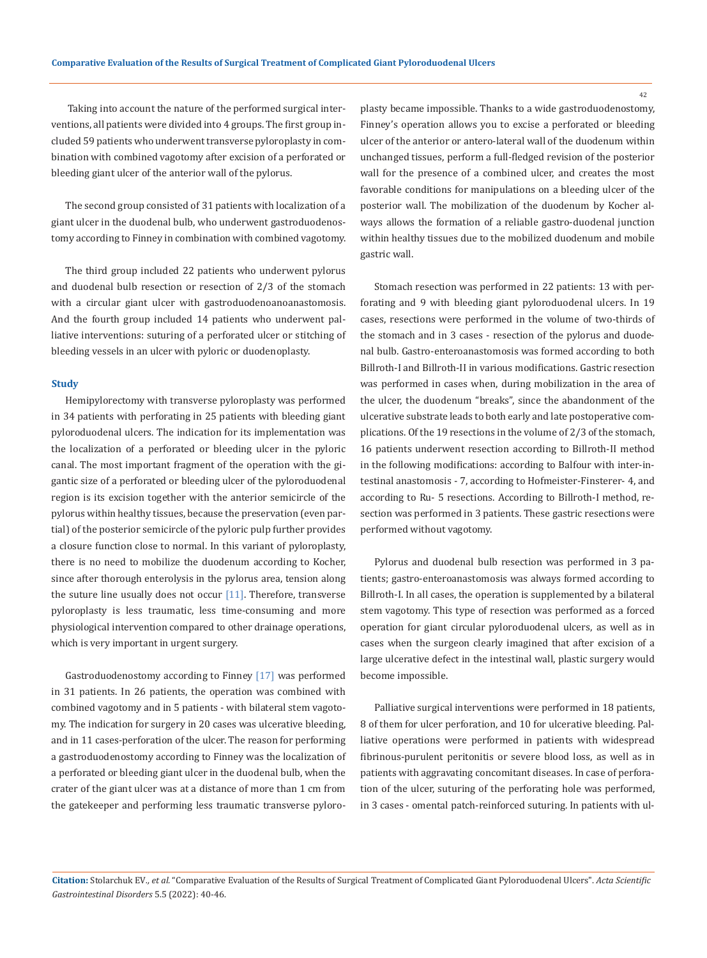Taking into account the nature of the performed surgical interventions, all patients were divided into 4 groups. The first group included 59 patients who underwent transverse pyloroplasty in combination with combined vagotomy after excision of a perforated or bleeding giant ulcer of the anterior wall of the pylorus.

The second group consisted of 31 patients with localization of a giant ulcer in the duodenal bulb, who underwent gastroduodenostomy according to Finney in combination with combined vagotomy.

The third group included 22 patients who underwent pylorus and duodenal bulb resection or resection of 2/3 of the stomach with a circular giant ulcer with gastroduodenoanoanastomosis. And the fourth group included 14 patients who underwent palliative interventions: suturing of a perforated ulcer or stitching of bleeding vessels in an ulcer with pyloric or duodenoplasty.

#### **Study**

Hemipylorectomy with transverse pyloroplasty was performed in 34 patients with perforating in 25 patients with bleeding giant pyloroduodenal ulcers. The indication for its implementation was the localization of a perforated or bleeding ulcer in the pyloric canal. The most important fragment of the operation with the gigantic size of a perforated or bleeding ulcer of the pyloroduodenal region is its excision together with the anterior semicircle of the pylorus within healthy tissues, because the preservation (even partial) of the posterior semicircle of the pyloric pulp further provides a closure function close to normal. In this variant of pyloroplasty, there is no need to mobilize the duodenum according to Kocher, since after thorough enterolysis in the pylorus area, tension along the suture line usually does not occur  $[11]$ . Therefore, transverse pyloroplasty is less traumatic, less time-consuming and more physiological intervention compared to other drainage operations, which is very important in urgent surgery.

Gastroduodenostomy according to Finney [17] was performed in 31 patients. In 26 patients, the operation was combined with combined vagotomy and in 5 patients - with bilateral stem vagotomy. The indication for surgery in 20 cases was ulcerative bleeding, and in 11 cases-perforation of the ulcer. The reason for performing a gastroduodenostomy according to Finney was the localization of a perforated or bleeding giant ulcer in the duodenal bulb, when the crater of the giant ulcer was at a distance of more than 1 cm from the gatekeeper and performing less traumatic transverse pyloroplasty became impossible. Thanks to a wide gastroduodenostomy, Finney's operation allows you to excise a perforated or bleeding ulcer of the anterior or antero-lateral wall of the duodenum within unchanged tissues, perform a full-fledged revision of the posterior wall for the presence of a combined ulcer, and creates the most favorable conditions for manipulations on a bleeding ulcer of the posterior wall. The mobilization of the duodenum by Kocher always allows the formation of a reliable gastro-duodenal junction within healthy tissues due to the mobilized duodenum and mobile gastric wall.

Stomach resection was performed in 22 patients: 13 with perforating and 9 with bleeding giant pyloroduodenal ulcers. In 19 cases, resections were performed in the volume of two-thirds of the stomach and in 3 cases - resection of the pylorus and duodenal bulb. Gastro-enteroanastomosis was formed according to both Billroth-I and Billroth-II in various modifications. Gastric resection was performed in cases when, during mobilization in the area of the ulcer, the duodenum "breaks", since the abandonment of the ulcerative substrate leads to both early and late postoperative complications. Of the 19 resections in the volume of 2/3 of the stomach, 16 patients underwent resection according to Billroth-II method in the following modifications: according to Balfour with inter-intestinal anastomosis - 7, according to Hofmeister-Finsterer- 4, and according to Ru- 5 resections. According to Billroth-I method, resection was performed in 3 patients. These gastric resections were performed without vagotomy.

Pylorus and duodenal bulb resection was performed in 3 patients; gastro-enteroanastomosis was always formed according to Billroth-I. In all cases, the operation is supplemented by a bilateral stem vagotomy. This type of resection was performed as a forced operation for giant circular pyloroduodenal ulcers, as well as in cases when the surgeon clearly imagined that after excision of a large ulcerative defect in the intestinal wall, plastic surgery would become impossible.

Palliative surgical interventions were performed in 18 patients, 8 of them for ulcer perforation, and 10 for ulcerative bleeding. Palliative operations were performed in patients with widespread fibrinous-purulent peritonitis or severe blood loss, as well as in patients with aggravating concomitant diseases. In case of perforation of the ulcer, suturing of the perforating hole was performed, in 3 cases - omental patch-reinforced suturing. In patients with ul-

**Citation:** Stolarchuk EV*., et al.* "Comparative Evaluation of the Results of Surgical Treatment of Complicated Giant Pyloroduodenal Ulcers". *Acta Scientific Gastrointestinal Disorders* 5.5 (2022): 40-46.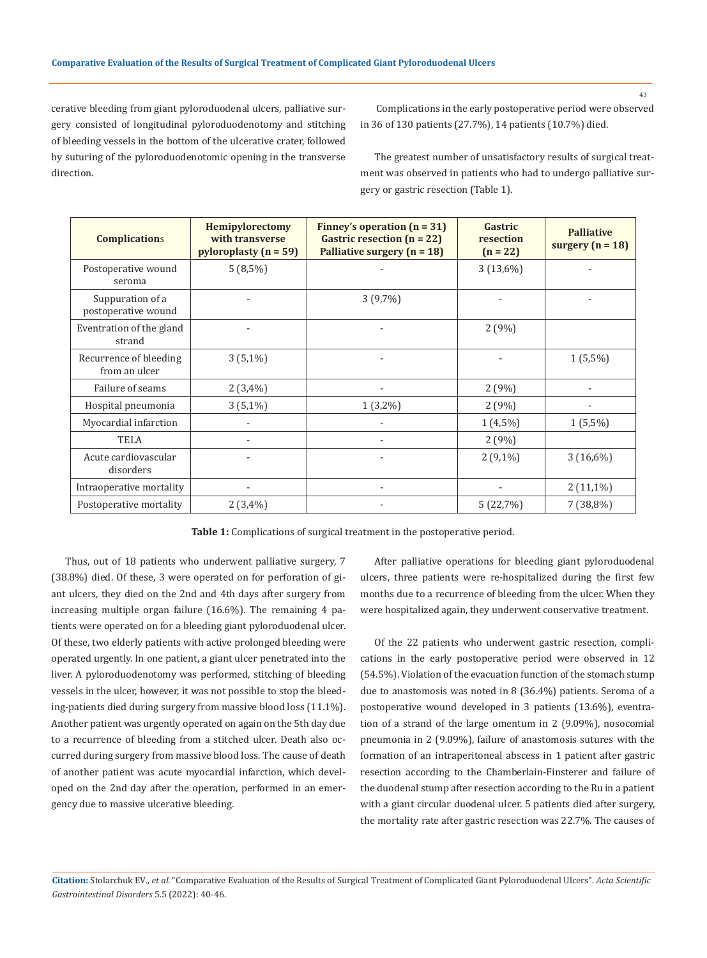cerative bleeding from giant pyloroduodenal ulcers, palliative surgery consisted of longitudinal pyloroduodenotomy and stitching of bleeding vessels in the bottom of the ulcerative crater, followed by suturing of the pyloroduodenotomic opening in the transverse direction.

 Complications in the early postoperative period were observed in 36 of 130 patients (27.7%), 14 patients (10.7%) died.

The greatest number of unsatisfactory results of surgical treatment was observed in patients who had to undergo palliative surgery or gastric resection (Table 1).

| <b>Complications</b>                    | Hemipylorectomy<br>with transverse<br>pyloroplasty $(n = 59)$ | Finney's operation $(n = 31)$<br>Gastric resection $(n = 22)$<br>Palliative surgery $(n = 18)$ | Gastric<br>resection<br>$(n = 22)$ | <b>Palliative</b><br>surgery $(n = 18)$ |
|-----------------------------------------|---------------------------------------------------------------|------------------------------------------------------------------------------------------------|------------------------------------|-----------------------------------------|
| Postoperative wound<br>seroma           | $5(8,5\%)$                                                    |                                                                                                | 3(13,6%)                           |                                         |
| Suppuration of a<br>postoperative wound |                                                               | $3(9,7\%)$                                                                                     |                                    |                                         |
| Eventration of the gland<br>strand      |                                                               |                                                                                                | 2(9%)                              |                                         |
| Recurrence of bleeding<br>from an ulcer | $3(5,1\%)$                                                    |                                                                                                |                                    | $1(5,5\%)$                              |
| Failure of seams                        | 2(3,4%)                                                       |                                                                                                | 2(9%)                              |                                         |
| Hospital pneumonia                      | $3(5,1\%)$                                                    | $1(3,2\%)$                                                                                     | 2(9%)                              |                                         |
| Myocardial infarction                   |                                                               |                                                                                                | $1(4,5\%)$                         | $1(5,5\%)$                              |
| <b>TELA</b>                             |                                                               |                                                                                                | 2(9%)                              |                                         |
| Acute cardiovascular<br>disorders       |                                                               |                                                                                                | $2(9,1\%)$                         | $3(16,6\%)$                             |
| Intraoperative mortality                |                                                               |                                                                                                |                                    | $2(11,1\%)$                             |
| Postoperative mortality                 | 2(3,4%)                                                       |                                                                                                | 5(22,7%)                           | $7(38,8\%)$                             |

**Table 1:** Complications of surgical treatment in the postoperative period.

Thus, out of 18 patients who underwent palliative surgery, 7 (38.8%) died. Of these, 3 were operated on for perforation of giant ulcers, they died on the 2nd and 4th days after surgery from increasing multiple organ failure (16.6%). The remaining 4 patients were operated on for a bleeding giant pyloroduodenal ulcer. Of these, two elderly patients with active prolonged bleeding were operated urgently. In one patient, a giant ulcer penetrated into the liver. A pyloroduodenotomy was performed, stitching of bleeding vessels in the ulcer, however, it was not possible to stop the bleeding-patients died during surgery from massive blood loss (11.1%). Another patient was urgently operated on again on the 5th day due to a recurrence of bleeding from a stitched ulcer. Death also occurred during surgery from massive blood loss. The cause of death of another patient was acute myocardial infarction, which developed on the 2nd day after the operation, performed in an emergency due to massive ulcerative bleeding.

After palliative operations for bleeding giant pyloroduodenal ulcers, three patients were re-hospitalized during the first few months due to a recurrence of bleeding from the ulcer. When they were hospitalized again, they underwent conservative treatment.

Of the 22 patients who underwent gastric resection, complications in the early postoperative period were observed in 12 (54.5%). Violation of the evacuation function of the stomach stump due to anastomosis was noted in 8 (36.4%) patients. Seroma of a postoperative wound developed in 3 patients (13.6%), eventration of a strand of the large omentum in 2 (9.09%), nosocomial pneumonia in 2 (9.09%), failure of anastomosis sutures with the formation of an intraperitoneal abscess in 1 patient after gastric resection according to the Chamberlain-Finsterer and failure of the duodenal stump after resection according to the Ru in a patient with a giant circular duodenal ulcer. 5 patients died after surgery, the mortality rate after gastric resection was 22.7%. The causes of

**Citation:** Stolarchuk EV*., et al.* "Comparative Evaluation of the Results of Surgical Treatment of Complicated Giant Pyloroduodenal Ulcers". *Acta Scientific Gastrointestinal Disorders* 5.5 (2022): 40-46.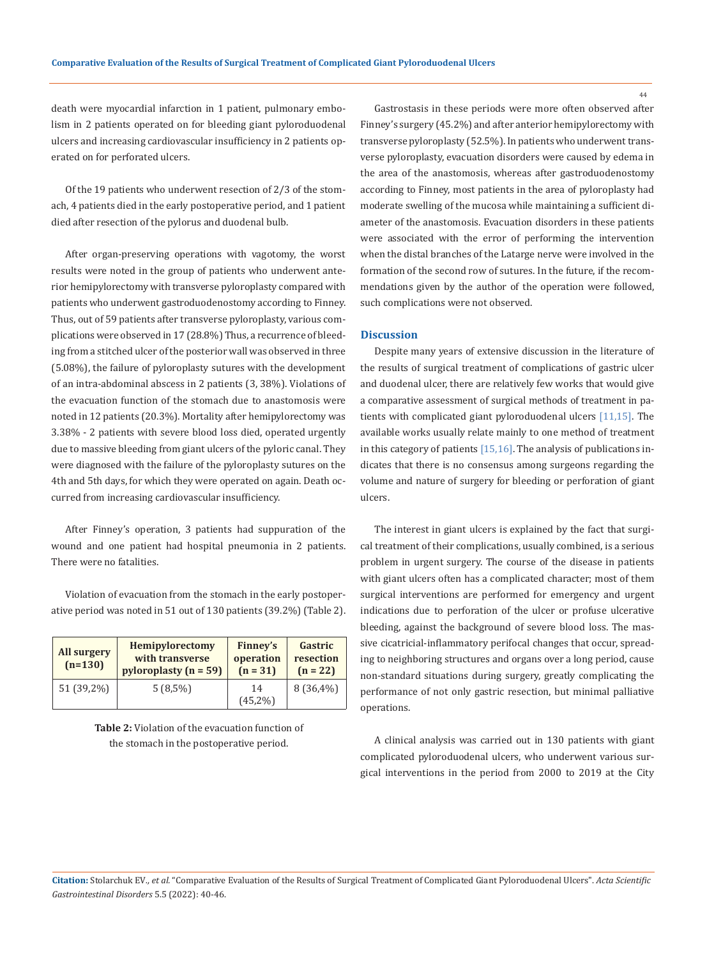death were myocardial infarction in 1 patient, pulmonary embolism in 2 patients operated on for bleeding giant pyloroduodenal ulcers and increasing cardiovascular insufficiency in 2 patients operated on for perforated ulcers.

Of the 19 patients who underwent resection of 2/3 of the stomach, 4 patients died in the early postoperative period, and 1 patient died after resection of the pylorus and duodenal bulb.

After organ-preserving operations with vagotomy, the worst results were noted in the group of patients who underwent anterior hemipylorectomy with transverse pyloroplasty compared with patients who underwent gastroduodenostomy according to Finney. Thus, out of 59 patients after transverse pyloroplasty, various complications were observed in 17 (28.8%) Thus, a recurrence of bleeding from a stitched ulcer of the posterior wall was observed in three (5.08%), the failure of pyloroplasty sutures with the development of an intra-abdominal abscess in 2 patients (3, 38%). Violations of the evacuation function of the stomach due to anastomosis were noted in 12 patients (20.3%). Mortality after hemipylorectomy was 3.38% - 2 patients with severe blood loss died, operated urgently due to massive bleeding from giant ulcers of the pyloric canal. They were diagnosed with the failure of the pyloroplasty sutures on the 4th and 5th days, for which they were operated on again. Death occurred from increasing cardiovascular insufficiency.

After Finney's operation, 3 patients had suppuration of the wound and one patient had hospital pneumonia in 2 patients. There were no fatalities.

Violation of evacuation from the stomach in the early postoperative period was noted in 51 out of 130 patients (39.2%) (Table 2).

| <b>All surgery</b><br>$(n=130)$ | <b>Hemipylorectomy</b><br>with transverse<br>pyloroplasty $(n = 59)$ | Finney's<br>operation<br>$(n = 31)$ | <b>Gastric</b><br>resection<br>$(n = 22)$ |
|---------------------------------|----------------------------------------------------------------------|-------------------------------------|-------------------------------------------|
| 51 (39,2%)                      | $5(8,5\%)$                                                           | 14<br>$(45,2\%)$                    | $8(36,4\%)$                               |

**Table 2:** Violation of the evacuation function of the stomach in the postoperative period.

Gastrostasis in these periods were more often observed after Finney's surgery (45.2%) and after anterior hemipylorectomy with transverse pyloroplasty (52.5%). In patients who underwent transverse pyloroplasty, evacuation disorders were caused by edema in the area of the anastomosis, whereas after gastroduodenostomy according to Finney, most patients in the area of pyloroplasty had moderate swelling of the mucosa while maintaining a sufficient diameter of the anastomosis. Evacuation disorders in these patients were associated with the error of performing the intervention when the distal branches of the Latarge nerve were involved in the formation of the second row of sutures. In the future, if the recommendations given by the author of the operation were followed, such complications were not observed.

#### **Discussion**

Despite many years of extensive discussion in the literature of the results of surgical treatment of complications of gastric ulcer and duodenal ulcer, there are relatively few works that would give a comparative assessment of surgical methods of treatment in patients with complicated giant pyloroduodenal ulcers [11,15]. The available works usually relate mainly to one method of treatment in this category of patients [15,16]. The analysis of publications indicates that there is no consensus among surgeons regarding the volume and nature of surgery for bleeding or perforation of giant ulcers.

The interest in giant ulcers is explained by the fact that surgical treatment of their complications, usually combined, is a serious problem in urgent surgery. The course of the disease in patients with giant ulcers often has a complicated character; most of them surgical interventions are performed for emergency and urgent indications due to perforation of the ulcer or profuse ulcerative bleeding, against the background of severe blood loss. The massive cicatricial-inflammatory perifocal changes that occur, spreading to neighboring structures and organs over a long period, cause non-standard situations during surgery, greatly complicating the performance of not only gastric resection, but minimal palliative operations.

A clinical analysis was carried out in 130 patients with giant complicated pyloroduodenal ulcers, who underwent various surgical interventions in the period from 2000 to 2019 at the City

**Citation:** Stolarchuk EV*., et al.* "Comparative Evaluation of the Results of Surgical Treatment of Complicated Giant Pyloroduodenal Ulcers". *Acta Scientific Gastrointestinal Disorders* 5.5 (2022): 40-46.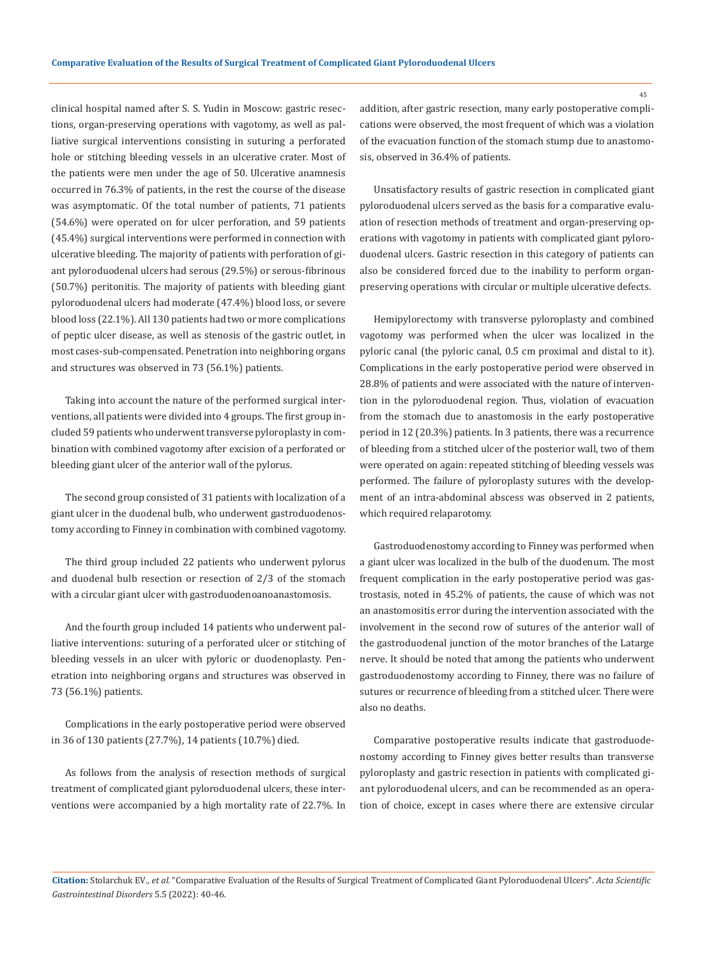clinical hospital named after S. S. Yudin in Moscow: gastric resections, organ-preserving operations with vagotomy, as well as palliative surgical interventions consisting in suturing a perforated hole or stitching bleeding vessels in an ulcerative crater. Most of the patients were men under the age of 50. Ulcerative anamnesis occurred in 76.3% of patients, in the rest the course of the disease was asymptomatic. Of the total number of patients, 71 patients (54.6%) were operated on for ulcer perforation, and 59 patients (45.4%) surgical interventions were performed in connection with ulcerative bleeding. The majority of patients with perforation of giant pyloroduodenal ulcers had serous (29.5%) or serous-fibrinous (50.7%) peritonitis. The majority of patients with bleeding giant pyloroduodenal ulcers had moderate (47.4%) blood loss, or severe blood loss (22.1%). All 130 patients had two or more complications of peptic ulcer disease, as well as stenosis of the gastric outlet, in most cases-sub-compensated. Penetration into neighboring organs and structures was observed in 73 (56.1%) patients.

Taking into account the nature of the performed surgical interventions, all patients were divided into 4 groups. The first group included 59 patients who underwent transverse pyloroplasty in combination with combined vagotomy after excision of a perforated or bleeding giant ulcer of the anterior wall of the pylorus.

The second group consisted of 31 patients with localization of a giant ulcer in the duodenal bulb, who underwent gastroduodenostomy according to Finney in combination with combined vagotomy.

The third group included 22 patients who underwent pylorus and duodenal bulb resection or resection of 2/3 of the stomach with a circular giant ulcer with gastroduodenoanoanastomosis.

And the fourth group included 14 patients who underwent palliative interventions: suturing of a perforated ulcer or stitching of bleeding vessels in an ulcer with pyloric or duodenoplasty. Penetration into neighboring organs and structures was observed in 73 (56.1%) patients.

Complications in the early postoperative period were observed in 36 of 130 patients (27.7%), 14 patients (10.7%) died.

As follows from the analysis of resection methods of surgical treatment of complicated giant pyloroduodenal ulcers, these interventions were accompanied by a high mortality rate of 22.7%. In addition, after gastric resection, many early postoperative complications were observed, the most frequent of which was a violation of the evacuation function of the stomach stump due to anastomosis, observed in 36.4% of patients.

Unsatisfactory results of gastric resection in complicated giant pyloroduodenal ulcers served as the basis for a comparative evaluation of resection methods of treatment and organ-preserving operations with vagotomy in patients with complicated giant pyloroduodenal ulcers. Gastric resection in this category of patients can also be considered forced due to the inability to perform organpreserving operations with circular or multiple ulcerative defects.

Hemipylorectomy with transverse pyloroplasty and combined vagotomy was performed when the ulcer was localized in the pyloric canal (the pyloric canal, 0.5 cm proximal and distal to it). Complications in the early postoperative period were observed in 28.8% of patients and were associated with the nature of intervention in the pyloroduodenal region. Thus, violation of evacuation from the stomach due to anastomosis in the early postoperative period in 12 (20.3%) patients. In 3 patients, there was a recurrence of bleeding from a stitched ulcer of the posterior wall, two of them were operated on again: repeated stitching of bleeding vessels was performed. The failure of pyloroplasty sutures with the development of an intra-abdominal abscess was observed in 2 patients, which required relaparotomy.

Gastroduodenostomy according to Finney was performed when a giant ulcer was localized in the bulb of the duodenum. The most frequent complication in the early postoperative period was gastrostasis, noted in 45.2% of patients, the cause of which was not an anastomositis error during the intervention associated with the involvement in the second row of sutures of the anterior wall of the gastroduodenal junction of the motor branches of the Latarge nerve. It should be noted that among the patients who underwent gastroduodenostomy according to Finney, there was no failure of sutures or recurrence of bleeding from a stitched ulcer. There were also no deaths.

Comparative postoperative results indicate that gastroduodenostomy according to Finney gives better results than transverse pyloroplasty and gastric resection in patients with complicated giant pyloroduodenal ulcers, and can be recommended as an operation of choice, except in cases where there are extensive circular

**Citation:** Stolarchuk EV*., et al.* "Comparative Evaluation of the Results of Surgical Treatment of Complicated Giant Pyloroduodenal Ulcers". *Acta Scientific Gastrointestinal Disorders* 5.5 (2022): 40-46.